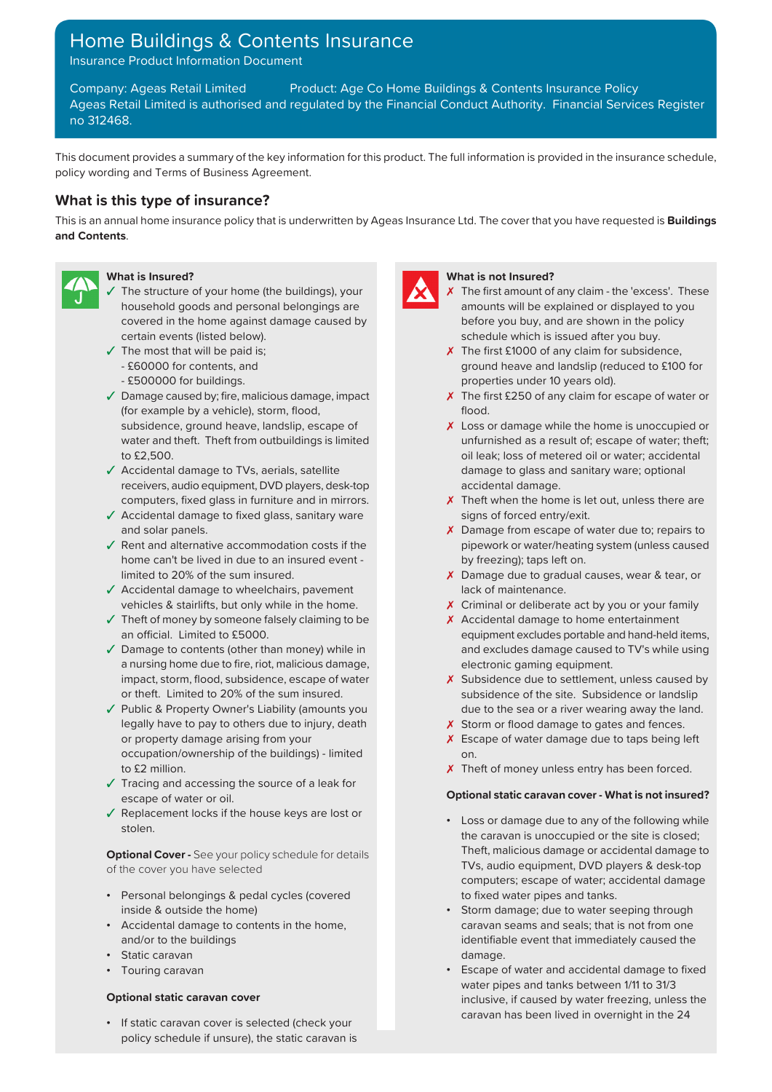## Home Buildings & Contents Insurance

Insurance Product Information Document

Company: Ageas Retail Limited Product: Age Co Home Buildings & Contents Insurance Policy Ageas Retail Limited is authorised and regulated by the Financial Conduct Authority. Financial Services Register no 312468.

This document provides a summary of the key information for this product. The full information is provided in the insurance schedule, policy wording and Terms of Business Agreement.

## **What is this type of insurance?**

This is an annual home insurance policy that is underwritten by Ageas Insurance Ltd. The cover that you have requested is **Buildings and Contents**.



- ✓ The structure of your home (the buildings), your ✗ household goods and personal belongings are covered in the home against damage caused by certain events (listed below).
- $\checkmark$  The most that will be paid is;
	- £60000 for contents, and
	- £500000 for buildings.
- ✓ Damage caused by; fire, malicious damage, impact ✗ (for example by a vehicle), storm, flood,
- ✓ Accidental damage to TVs, aerials, satellite receivers, audio equipment, DVD players, desk-top
- ✓ Accidental damage to fixed glass, sanitary ware signs of forced entry/exit. and solar panels.  $\lambda$  Damage from escape of water due to; repairs to
- ✓ Rent and alternative accommodation costs if the home can't be lived in due to an insured event -
- ✓ Accidental damage to wheelchairs, pavement lack of maintenance. vehicles & stairlifts, but only while in the home. ✗ Criminal or deliberate act by you or your family
- ✓ Theft of money by someone falsely claiming to be an official. Limited to £5000.
- ✓ Damage to contents (other than money) while in a nursing home due to fire, riot, malicious damage, impact, storm, flood, subsidence, escape of water or theft. Limited to 20% of the sum insured.
- ✓ Public & Property Owner's Liability (amounts you due to the sea or a river wearing away the land. legally have to pay to others due to injury, death **X** Storm or flood damage to gates and fences. or property damage arising from your **X** Escape of water damage due to taps being left occupation/ownership of the buildings) - limited on.
- ✓ Tracing and accessing the source of a leak for escape of water or oil. **Optional static caravan cover - What is not insured?**
- ✓ Replacement locks if the house keys are lost or

of the cover you have selected TVs, audio equipment, DVD players & desk-top

- Personal belongings & pedal cycles (covered to fixed water pipes and tanks.
- 
- Static caravan damage. The static caravan damage.
- Touring caravan

• If static caravan cover is selected (check your policy schedule if unsure), the static caravan is



## **What is Insured? What is not Insured?**

- The first amount of any claim the 'excess'. These amounts will be explained or displayed to you before you buy, and are shown in the policy schedule which is issued after you buy.
- X The first £1000 of any claim for subsidence, ground heave and landslip (reduced to £100 for properties under 10 years old).
- $\chi$  The first £250 of any claim for escape of water or flood.
- subsidence, ground heave, landslip, escape of  $\boldsymbol{\chi}$  Loss or damage while the home is unoccupied or water and theft. Theft from outbuildings is limited unfurnished as a result of; escape of water; theft; to £2,500. **oil leak; loss of metered oil or water; accidental** damage to glass and sanitary ware; optional accidental damage.
- computers, fixed glass in furniture and in mirrors.  $\boldsymbol{\lambda}$  Theft when the home is let out, unless there are
	- pipework or water/heating system (unless caused by freezing); taps left on.
- limited to 20% of the sum insured.  $\boldsymbol{\chi}$  Damage due to gradual causes, wear & tear, or
	-
	- ✗ Accidental damage to home entertainment equipment excludes portable and hand-held items, and excludes damage caused to TV's while using electronic gaming equipment.
	- X Subsidence due to settlement, unless caused by subsidence of the site. Subsidence or landslip
	-
	-
- to £2 million.  $\boldsymbol{\chi}$  Theft of money unless entry has been forced.

- stolen.<br>
stolen.<br>
Stolen. the caravan is unoccupied or the site is closed; **Optional Cover** - See your policy schedule for details **Fig. 7** Theft, malicious damage or accidental damage to computers; escape of water; accidental damage
- inside & outside the home) Storm damage; due to water seeping through • Accidental damage to contents in the home, caravan seams and seals; that is not from one and/or to the buildings in the buildings in the buildings in the buildings in the buildings in the buildings in the buildings in the buildings in the buildings in the buildings in the buildings in the buildings in the buil
- Escape of water and accidental damage to fixed water pipes and tanks between 1/11 to 31/3 **Optional static caravan cover inclusive**, if caused by water freezing, unless the caravan has been lived in overnight in the 24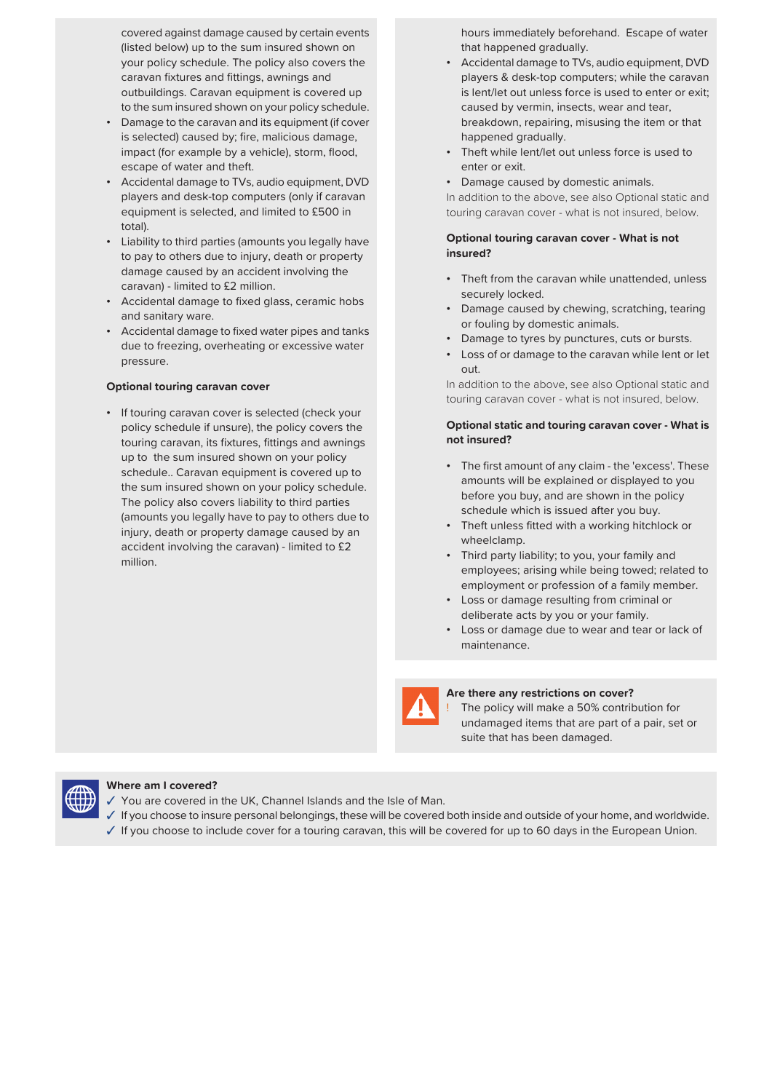covered against damage caused by certain events (listed below) up to the sum insured shown on outbuildings. Caravan equipment is covered up to the sum insured shown on your policy schedule.

- Damage to the caravan and its equipment (if cover is selected) caused by; fire, malicious damage, impact (for example by a vehicle), storm, flood, escape of water and theft.
- Accidental damage to TVs, audio equipment, DVD players and desk-top computers (only if caravan total).
- Liability to third parties (amounts you legally have to pay to others due to injury, death or property damage caused by an accident involving the
- Accidental damage to fixed glass, ceramic hobs Accidental damage to lixed glass, ceranic hoss **•** Damage caused by chewing, scratching, tearing and sanitary ware.
- Accidental damage to fixed water pipes and tanks due to freezing, overheating or excessive water pressure.

• If touring caravan cover is selected (check your touring caravan, its fixtures, fittings and awnings **not insured?** up to the sum insured shown on your policy schedule.. Caravan equipment is covered up to the sum insured shown on your policy schedule. The policy also covers liability to third parties (amounts you legally have to pay to others due to injury, death or property damage caused by an **•** Theft unless fitted with a working hitchlock or injury, death or property damage caused by an **•** Theft unless fitted with a working hitchlock or wheelclamp. accident involving the caravan) - limited to £2 million. • Third party liability; to you, your family and million

hours immediately beforehand. Escape of water that happened gradually.

- your policy schedule. The policy also covers the Accidental damage to TVs, audio equipment, DVD caravan fixtures and fittings, awnings and players & desk-top computers; while the caravan is lent/let out unless force is used to enter or exit; caused by vermin, insects, wear and tear, breakdown, repairing, misusing the item or that happened gradually.
	- Theft while lent/let out unless force is used to enter or exit.
	- Damage caused by domestic animals.

In addition to the above, see also Optional static and equipment is selected, and limited to £500 in touring caravan cover - what is not insured, below.

## **Optional touring caravan cover - What is not insured?**

- caravan) limited to £2 million.<br>
e Theft from the caravan while unattended, unless securely locked.
	- or fouling by domestic animals.
	- Damage to tyres by punctures, cuts or bursts.
	- Loss of or damage to the caravan while lent or let out.

**Optional touring caravan cover In addition to the above, see also Optional static and** touring caravan cover - what is not insured, below.

# policy schedule if unsure), the policy covers the **Optional static and touring caravan cover - What is**

- The first amount of any claim the 'excess'. These amounts will be explained or displayed to you before you buy, and are shown in the policy schedule which is issued after you buy.
- 
- employees; arising while being towed; related to employment or profession of a family member.
- Loss or damage resulting from criminal or deliberate acts by you or your family.
- Loss or damage due to wear and tear or lack of maintenance.



### **Are there any restrictions on cover?**

The policy will make a 50% contribution for undamaged items that are part of a pair, set or suite that has been damaged.



### **Where am I covered?**

- ✓ You are covered in the UK, Channel Islands and the Isle of Man.
- ✓ If you choose to insure personal belongings, these will be covered both inside and outside of your home, and worldwide.
- ✓ If you choose to include cover for a touring caravan, this will be covered for up to 60 days in the European Union.